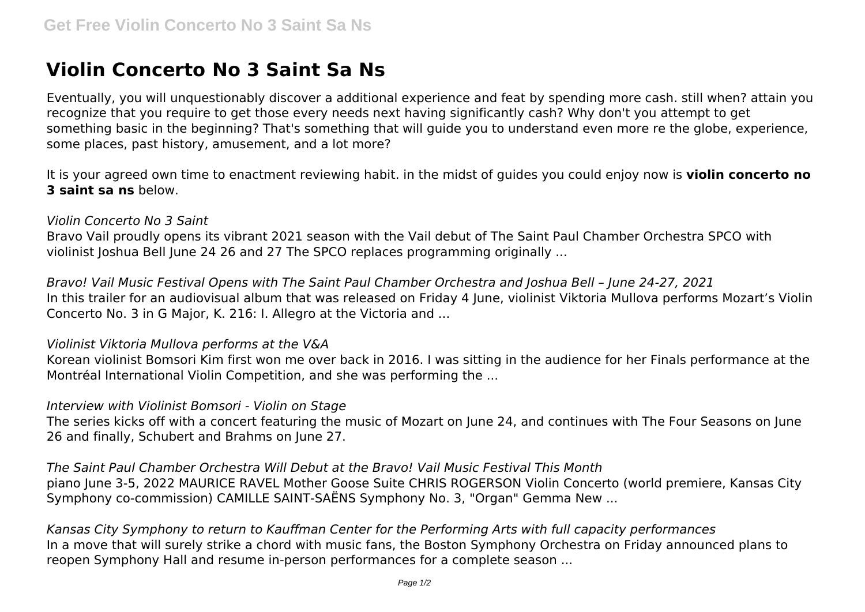# **Violin Concerto No 3 Saint Sa Ns**

Eventually, you will unquestionably discover a additional experience and feat by spending more cash. still when? attain you recognize that you require to get those every needs next having significantly cash? Why don't you attempt to get something basic in the beginning? That's something that will guide you to understand even more re the globe, experience, some places, past history, amusement, and a lot more?

It is your agreed own time to enactment reviewing habit. in the midst of guides you could enjoy now is **violin concerto no 3 saint sa ns** below.

### *Violin Concerto No 3 Saint*

Bravo Vail proudly opens its vibrant 2021 season with the Vail debut of The Saint Paul Chamber Orchestra SPCO with violinist Joshua Bell June 24 26 and 27 The SPCO replaces programming originally ...

*Bravo! Vail Music Festival Opens with The Saint Paul Chamber Orchestra and Joshua Bell – June 24-27, 2021* In this trailer for an audiovisual album that was released on Friday 4 June, violinist Viktoria Mullova performs Mozart's Violin Concerto No. 3 in G Major, K. 216: I. Allegro at the Victoria and ...

### *Violinist Viktoria Mullova performs at the V&A*

Korean violinist Bomsori Kim first won me over back in 2016. I was sitting in the audience for her Finals performance at the Montréal International Violin Competition, and she was performing the ...

## *Interview with Violinist Bomsori - Violin on Stage*

The series kicks off with a concert featuring the music of Mozart on June 24, and continues with The Four Seasons on June 26 and finally, Schubert and Brahms on June 27.

*The Saint Paul Chamber Orchestra Will Debut at the Bravo! Vail Music Festival This Month* piano June 3-5, 2022 MAURICE RAVEL Mother Goose Suite CHRIS ROGERSON Violin Concerto (world premiere, Kansas City Symphony co-commission) CAMILLE SAINT-SAËNS Symphony No. 3, "Organ" Gemma New ...

*Kansas City Symphony to return to Kauffman Center for the Performing Arts with full capacity performances* In a move that will surely strike a chord with music fans, the Boston Symphony Orchestra on Friday announced plans to reopen Symphony Hall and resume in-person performances for a complete season ...